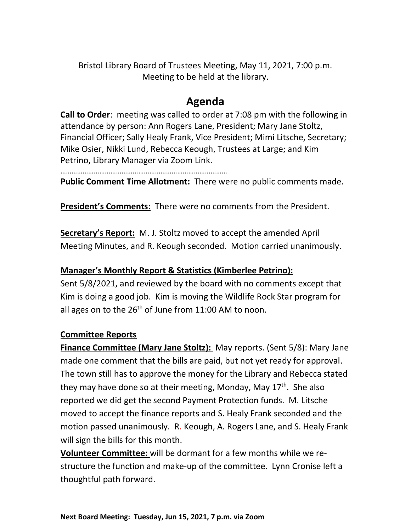Bristol Library Board of Trustees Meeting, May 11, 2021, 7:00 p.m. Meeting to be held at the library.

# **Agenda**

**Call to Order**: meeting was called to order at 7:08 pm with the following in attendance by person: Ann Rogers Lane, President; Mary Jane Stoltz, Financial Officer; Sally Healy Frank, Vice President; Mimi Litsche, Secretary; Mike Osier, Nikki Lund, Rebecca Keough, Trustees at Large; and Kim Petrino, Library Manager via Zoom Link.

………………………………………………………………………………

**Public Comment Time Allotment:** There were no public comments made.

**President's Comments:** There were no comments from the President.

**Secretary's Report:** M. J. Stoltz moved to accept the amended April Meeting Minutes, and R. Keough seconded. Motion carried unanimously.

### **Manager's Monthly Report & Statistics (Kimberlee Petrino):**

Sent 5/8/2021, and reviewed by the board with no comments except that Kim is doing a good job. Kim is moving the Wildlife Rock Star program for all ages on to the  $26<sup>th</sup>$  of June from 11:00 AM to noon.

### **Committee Reports**

**Finance Committee (Mary Jane Stoltz):** May reports. (Sent 5/8): Mary Jane made one comment that the bills are paid, but not yet ready for approval. The town still has to approve the money for the Library and Rebecca stated they may have done so at their meeting, Monday, May  $17<sup>th</sup>$ . She also reported we did get the second Payment Protection funds. M. Litsche moved to accept the finance reports and S. Healy Frank seconded and the motion passed unanimously. R. Keough, A. Rogers Lane, and S. Healy Frank will sign the bills for this month.

**Volunteer Committee:** will be dormant for a few months while we restructure the function and make-up of the committee. Lynn Cronise left a thoughtful path forward.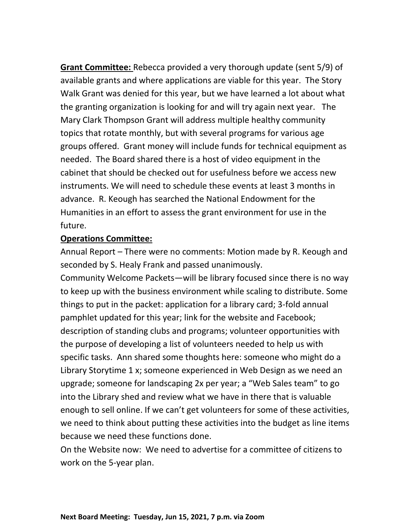**Grant Committee:** Rebecca provided a very thorough update (sent 5/9) of available grants and where applications are viable for this year. The Story Walk Grant was denied for this year, but we have learned a lot about what the granting organization is looking for and will try again next year. The Mary Clark Thompson Grant will address multiple healthy community topics that rotate monthly, but with several programs for various age groups offered. Grant money will include funds for technical equipment as needed. The Board shared there is a host of video equipment in the cabinet that should be checked out for usefulness before we access new instruments. We will need to schedule these events at least 3 months in advance. R. Keough has searched the National Endowment for the Humanities in an effort to assess the grant environment for use in the future.

#### **Operations Committee:**

Annual Report – There were no comments: Motion made by R. Keough and seconded by S. Healy Frank and passed unanimously.

Community Welcome Packets—will be library focused since there is no way to keep up with the business environment while scaling to distribute. Some things to put in the packet: application for a library card; 3-fold annual pamphlet updated for this year; link for the website and Facebook; description of standing clubs and programs; volunteer opportunities with the purpose of developing a list of volunteers needed to help us with specific tasks. Ann shared some thoughts here: someone who might do a Library Storytime 1 x; someone experienced in Web Design as we need an upgrade; someone for landscaping 2x per year; a "Web Sales team" to go into the Library shed and review what we have in there that is valuable enough to sell online. If we can't get volunteers for some of these activities, we need to think about putting these activities into the budget as line items because we need these functions done.

On the Website now: We need to advertise for a committee of citizens to work on the 5-year plan.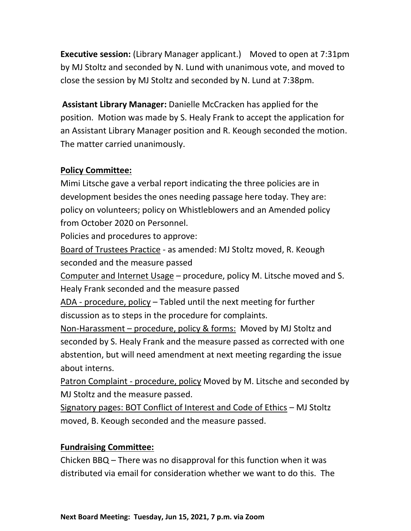**Executive session:** (Library Manager applicant.) Moved to open at 7:31pm by MJ Stoltz and seconded by N. Lund with unanimous vote, and moved to close the session by MJ Stoltz and seconded by N. Lund at 7:38pm.

**Assistant Library Manager:** Danielle McCracken has applied for the position. Motion was made by S. Healy Frank to accept the application for an Assistant Library Manager position and R. Keough seconded the motion. The matter carried unanimously.

## **Policy Committee:**

Mimi Litsche gave a verbal report indicating the three policies are in development besides the ones needing passage here today. They are: policy on volunteers; policy on Whistleblowers and an Amended policy from October 2020 on Personnel.

Policies and procedures to approve:

Board of Trustees Practice - as amended: MJ Stoltz moved, R. Keough seconded and the measure passed

Computer and Internet Usage – procedure, policy M. Litsche moved and S. Healy Frank seconded and the measure passed

ADA - procedure, policy – Tabled until the next meeting for further discussion as to steps in the procedure for complaints.

Non-Harassment – procedure, policy & forms: Moved by MJ Stoltz and seconded by S. Healy Frank and the measure passed as corrected with one abstention, but will need amendment at next meeting regarding the issue about interns.

Patron Complaint - procedure, policy Moved by M. Litsche and seconded by MJ Stoltz and the measure passed.

Signatory pages: BOT Conflict of Interest and Code of Ethics – MJ Stoltz moved, B. Keough seconded and the measure passed.

# **Fundraising Committee:**

Chicken BBQ – There was no disapproval for this function when it was distributed via email for consideration whether we want to do this. The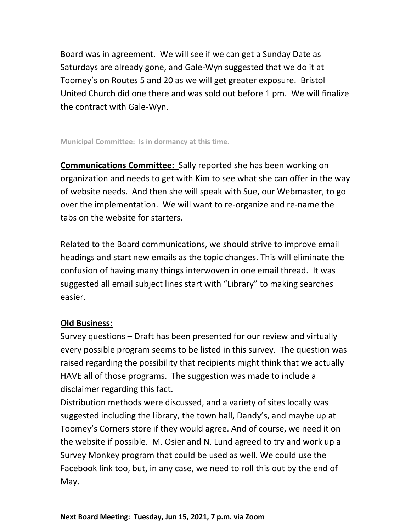Board was in agreement. We will see if we can get a Sunday Date as Saturdays are already gone, and Gale-Wyn suggested that we do it at Toomey's on Routes 5 and 20 as we will get greater exposure. Bristol United Church did one there and was sold out before 1 pm. We will finalize the contract with Gale-Wyn.

#### **Municipal Committee: Is in dormancy at this time.**

**Communications Committee:** Sally reported she has been working on organization and needs to get with Kim to see what she can offer in the way of website needs. And then she will speak with Sue, our Webmaster, to go over the implementation. We will want to re-organize and re-name the tabs on the website for starters.

Related to the Board communications, we should strive to improve email headings and start new emails as the topic changes. This will eliminate the confusion of having many things interwoven in one email thread. It was suggested all email subject lines start with "Library" to making searches easier.

### **Old Business:**

Survey questions – Draft has been presented for our review and virtually every possible program seems to be listed in this survey. The question was raised regarding the possibility that recipients might think that we actually HAVE all of those programs. The suggestion was made to include a disclaimer regarding this fact.

Distribution methods were discussed, and a variety of sites locally was suggested including the library, the town hall, Dandy's, and maybe up at Toomey's Corners store if they would agree. And of course, we need it on the website if possible. M. Osier and N. Lund agreed to try and work up a Survey Monkey program that could be used as well. We could use the Facebook link too, but, in any case, we need to roll this out by the end of May.